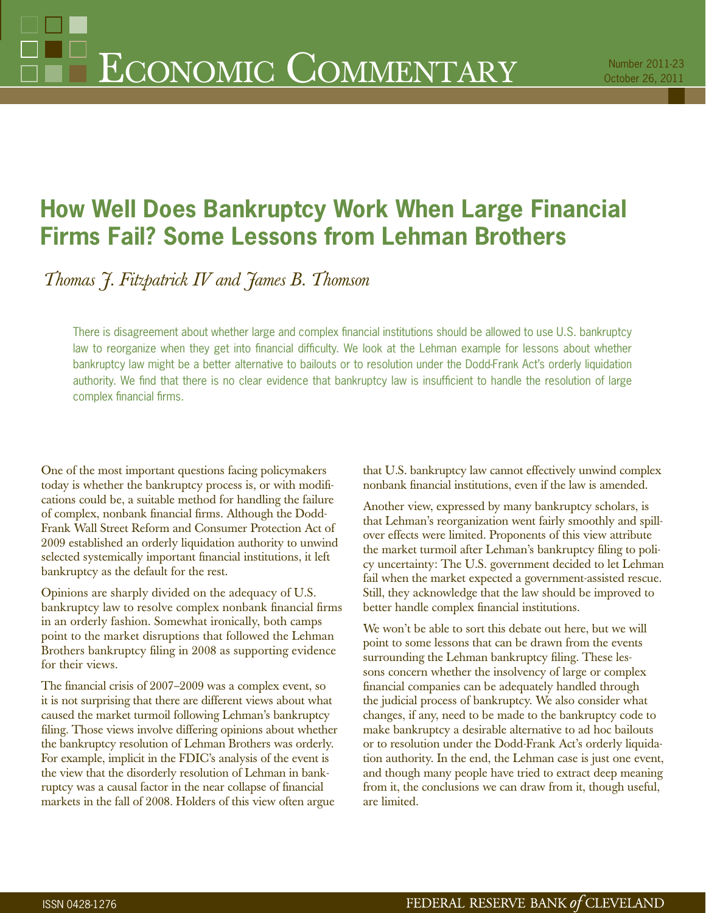# **How Well Does Bankruptcy Work When Large Financial Firms Fail? Some Lessons from Lehman Brothers**

*Thomas J. Fitzpatrick IV and James B. Thomson*

There is disagreement about whether large and complex financial institutions should be allowed to use U.S. bankruptcy law to reorganize when they get into financial difficulty. We look at the Lehman example for lessons about whether bankruptcy law might be a better alternative to bailouts or to resolution under the Dodd-Frank Act's orderly liquidation authority. We find that there is no clear evidence that bankruptcy law is insufficient to handle the resolution of large complex financial firms.

One of the most important questions facing policymakers today is whether the bankruptcy process is, or with modifications could be, a suitable method for handling the failure of complex, nonbank financial firms. Although the Dodd-Frank Wall Street Reform and Consumer Protection Act of 2009 established an orderly liquidation authority to unwind selected systemically important financial institutions, it left bankruptcy as the default for the rest.

Opinions are sharply divided on the adequacy of U.S. bankruptcy law to resolve complex nonbank financial firms in an orderly fashion. Somewhat ironically, both camps point to the market disruptions that followed the Lehman Brothers bankruptcy filing in 2008 as supporting evidence for their views.

The financial crisis of 2007–2009 was a complex event, so it is not surprising that there are different views about what caused the market turmoil following Lehman's bankruptcy filing. Those views involve differing opinions about whether the bankruptcy resolution of Lehman Brothers was orderly. For example, implicit in the FDIC's analysis of the event is the view that the disorderly resolution of Lehman in bankruptcy was a causal factor in the near collapse of financial markets in the fall of 2008. Holders of this view often argue

that U.S. bankruptcy law cannot effectively unwind complex nonbank financial institutions, even if the law is amended.

Another view, expressed by many bankruptcy scholars, is that Lehman's reorganization went fairly smoothly and spillover effects were limited. Proponents of this view attribute the market turmoil after Lehman's bankruptcy filing to policy uncertainty: The U.S. government decided to let Lehman fail when the market expected a government-assisted rescue. Still, they acknowledge that the law should be improved to better handle complex financial institutions.

We won't be able to sort this debate out here, but we will point to some lessons that can be drawn from the events surrounding the Lehman bankruptcy filing. These lessons concern whether the insolvency of large or complex financial companies can be adequately handled through the judicial process of bankruptcy. We also consider what changes, if any, need to be made to the bankruptcy code to make bankruptcy a desirable alternative to ad hoc bailouts or to resolution under the Dodd-Frank Act's orderly liquidation authority. In the end, the Lehman case is just one event, and though many people have tried to extract deep meaning from it, the conclusions we can draw from it, though useful, are limited.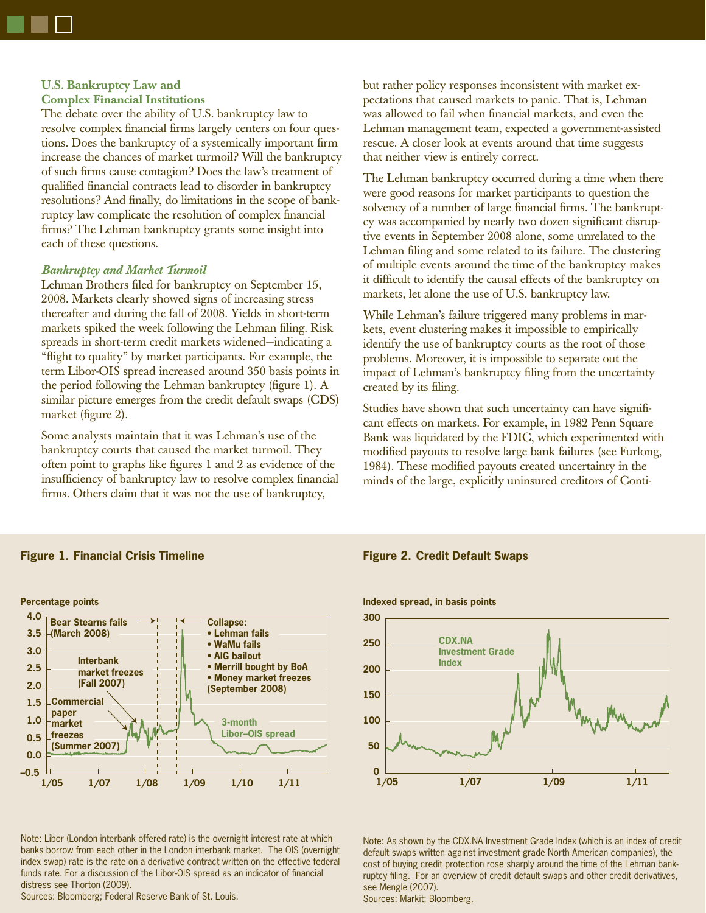# **U.S. Bankruptcy Law and Complex Financial Institutions**

The debate over the ability of U.S. bankruptcy law to resolve complex financial firms largely centers on four questions. Does the bankruptcy of a systemically important firm increase the chances of market turmoil? Will the bankruptcy of such firms cause contagion? Does the law's treatment of qualified financial contracts lead to disorder in bankruptcy resolutions? And finally, do limitations in the scope of bankruptcy law complicate the resolution of complex financial firms? The Lehman bankruptcy grants some insight into each of these questions.

### *Bankruptcy and Market Turmoil*

Lehman Brothers filed for bankruptcy on September 15, 2008. Markets clearly showed signs of increasing stress thereafter and during the fall of 2008. Yields in short-term markets spiked the week following the Lehman filing. Risk spreads in short-term credit markets widened—indicating a "flight to quality" by market participants. For example, the term Libor-OIS spread increased around 350 basis points in the period following the Lehman bankruptcy (figure 1). A similar picture emerges from the credit default swaps (CDS) market (figure 2).

Some analysts maintain that it was Lehman's use of the bankruptcy courts that caused the market turmoil. They often point to graphs like figures  $1$  and  $2$  as evidence of the insufficiency of bankruptcy law to resolve complex financial firms. Others claim that it was not the use of bankruptcy,

but rather policy responses inconsistent with market expectations that caused markets to panic. That is, Lehman was allowed to fail when financial markets, and even the Lehman management team, expected a government-assisted rescue. A closer look at events around that time suggests that neither view is entirely correct.

The Lehman bankruptcy occurred during a time when there were good reasons for market participants to question the solvency of a number of large financial firms. The bankruptcy was accompanied by nearly two dozen significant disruptive events in September 2008 alone, some unrelated to the Lehman filing and some related to its failure. The clustering of multiple events around the time of the bankruptcy makes it difficult to identify the causal effects of the bankruptcy on markets, let alone the use of U.S. bankruptcy law.

While Lehman's failure triggered many problems in markets, event clustering makes it impossible to empirically identify the use of bankruptcy courts as the root of those problems. Moreover, it is impossible to separate out the impact of Lehman's bankruptcy filing from the uncertainty created by its filing.

Studies have shown that such uncertainty can have significant effects on markets. For example, in 1982 Penn Square Bank was liquidated by the FDIC, which experimented with modified payouts to resolve large bank failures (see Furlong, 1984). These modified payouts created uncertainty in the minds of the large, explicitly uninsured creditors of Conti-



**Figure 1. Financial Crisis Timeline**

Note: Libor (London interbank offered rate) is the overnight interest rate at which banks borrow from each other in the London interbank market. The OIS (overnight index swap) rate is the rate on a derivative contract written on the effective federal funds rate. For a discussion of the Libor-OIS spread as an indicator of financial distress see Thorton (2009).

Sources: Bloomberg; Federal Reserve Bank of St. Louis.

# **Figure 2. Credit Default Swaps**



Note: As shown by the CDX.NA Investment Grade Index (which is an index of credit default swaps written against investment grade North American companies), the cost of buying credit protection rose sharply around the time of the Lehman bankruptcy filing. For an overview of credit default swaps and other credit derivatives, see Mengle (2007).

Sources: Markit; Bloomberg.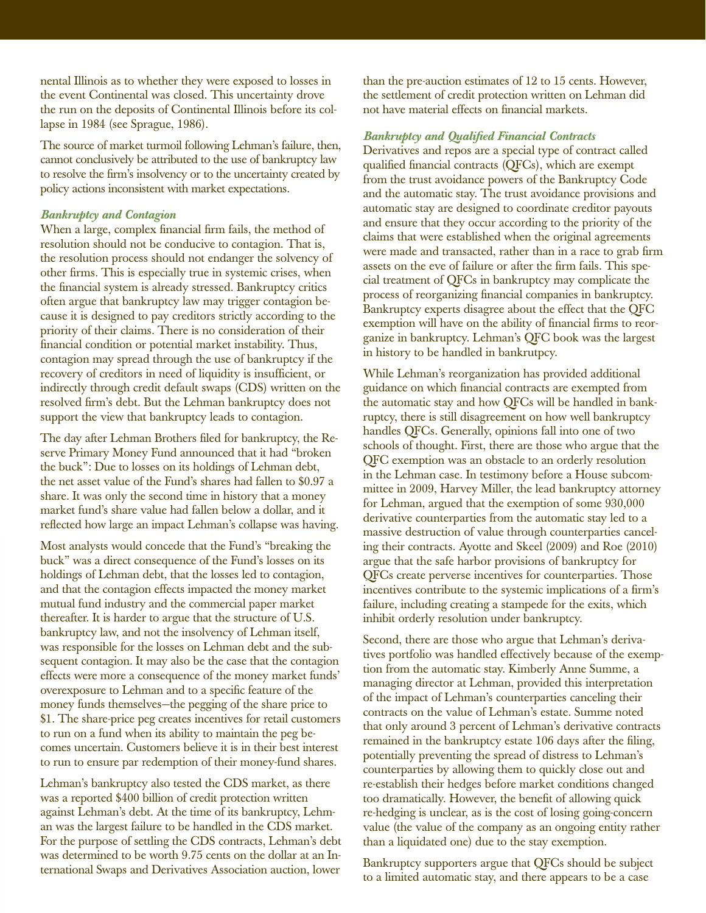nental Illinois as to whether they were exposed to losses in the event Continental was closed. This uncertainty drove the run on the deposits of Continental Illinois before its collapse in 1984 (see Sprague, 1986).

The source of market turmoil following Lehman's failure, then, cannot conclusively be attributed to the use of bankruptcy law to resolve the firm's insolvency or to the uncertainty created by policy actions inconsistent with market expectations.

# *Bankruptcy and Contagion*

When a large, complex financial firm fails, the method of resolution should not be conducive to contagion. That is, the resolution process should not endanger the solvency of other firms. This is especially true in systemic crises, when the financial system is already stressed. Bankruptcy critics often argue that bankruptcy law may trigger contagion because it is designed to pay creditors strictly according to the priority of their claims. There is no consideration of their financial condition or potential market instability. Thus, contagion may spread through the use of bankruptcy if the recovery of creditors in need of liquidity is insufficient, or indirectly through credit default swaps (CDS) written on the resolved firm's debt. But the Lehman bankruptcy does not support the view that bankruptcy leads to contagion.

The day after Lehman Brothers filed for bankruptcy, the Reserve Primary Money Fund announced that it had "broken the buck": Due to losses on its holdings of Lehman debt, the net asset value of the Fund's shares had fallen to \$0.97 a share. It was only the second time in history that a money market fund's share value had fallen below a dollar, and it reflected how large an impact Lehman's collapse was having.

Most analysts would concede that the Fund's "breaking the buck" was a direct consequence of the Fund's losses on its holdings of Lehman debt, that the losses led to contagion, and that the contagion effects impacted the money market mutual fund industry and the commercial paper market thereafter. It is harder to argue that the structure of U.S. bankruptcy law, and not the insolvency of Lehman itself, was responsible for the losses on Lehman debt and the subsequent contagion. It may also be the case that the contagion effects were more a consequence of the money market funds' overexposure to Lehman and to a specific feature of the money funds themselves—the pegging of the share price to \$1. The share-price peg creates incentives for retail customers to run on a fund when its ability to maintain the peg becomes uncertain. Customers believe it is in their best interest to run to ensure par redemption of their money-fund shares.

Lehman's bankruptcy also tested the CDS market, as there was a reported \$400 billion of credit protection written against Lehman's debt. At the time of its bankruptcy, Lehman was the largest failure to be handled in the CDS market. For the purpose of settling the CDS contracts, Lehman's debt was determined to be worth 9.75 cents on the dollar at an International Swaps and Derivatives Association auction, lower

than the pre-auction estimates of 12 to 15 cents. However, the settlement of credit protection written on Lehman did not have material effects on financial markets.

# *Bankruptcy and Qualified Financial Contracts*

Derivatives and repos are a special type of contract called qualified financial contracts (QFCs), which are exempt from the trust avoidance powers of the Bankruptcy Code and the automatic stay. The trust avoidance provisions and automatic stay are designed to coordinate creditor payouts and ensure that they occur according to the priority of the claims that were established when the original agreements were made and transacted, rather than in a race to grab firm assets on the eve of failure or after the firm fails. This special treatment of QFCs in bankruptcy may complicate the process of reorganizing financial companies in bankruptcy. Bankruptcy experts disagree about the effect that the QFC exemption will have on the ability of financial firms to reorganize in bankruptcy. Lehman's QFC book was the largest in history to be handled in bankrutpcy.

While Lehman's reorganization has provided additional guidance on which financial contracts are exempted from the automatic stay and how QFCs will be handled in bankruptcy, there is still disagreement on how well bankruptcy handles QFCs. Generally, opinions fall into one of two schools of thought. First, there are those who argue that the QFC exemption was an obstacle to an orderly resolution in the Lehman case. In testimony before a House subcommittee in 2009, Harvey Miller, the lead bankruptcy attorney for Lehman, argued that the exemption of some 930,000 derivative counterparties from the automatic stay led to a massive destruction of value through counterparties canceling their contracts. Ayotte and Skeel (2009) and Roe (2010) argue that the safe harbor provisions of bankruptcy for QFCs create perverse incentives for counterparties. Those incentives contribute to the systemic implications of a firm's failure, including creating a stampede for the exits, which inhibit orderly resolution under bankruptcy.

Second, there are those who argue that Lehman's derivatives portfolio was handled effectively because of the exemption from the automatic stay. Kimberly Anne Summe, a managing director at Lehman, provided this interpretation of the impact of Lehman's counterparties canceling their contracts on the value of Lehman's estate. Summe noted that only around 3 percent of Lehman's derivative contracts remained in the bankruptcy estate 106 days after the filing, potentially preventing the spread of distress to Lehman's counterparties by allowing them to quickly close out and re-establish their hedges before market conditions changed too dramatically. However, the benefit of allowing quick re-hedging is unclear, as is the cost of losing going-concern value (the value of the company as an ongoing entity rather than a liquidated one) due to the stay exemption.

Bankruptcy supporters argue that QFCs should be subject to a limited automatic stay, and there appears to be a case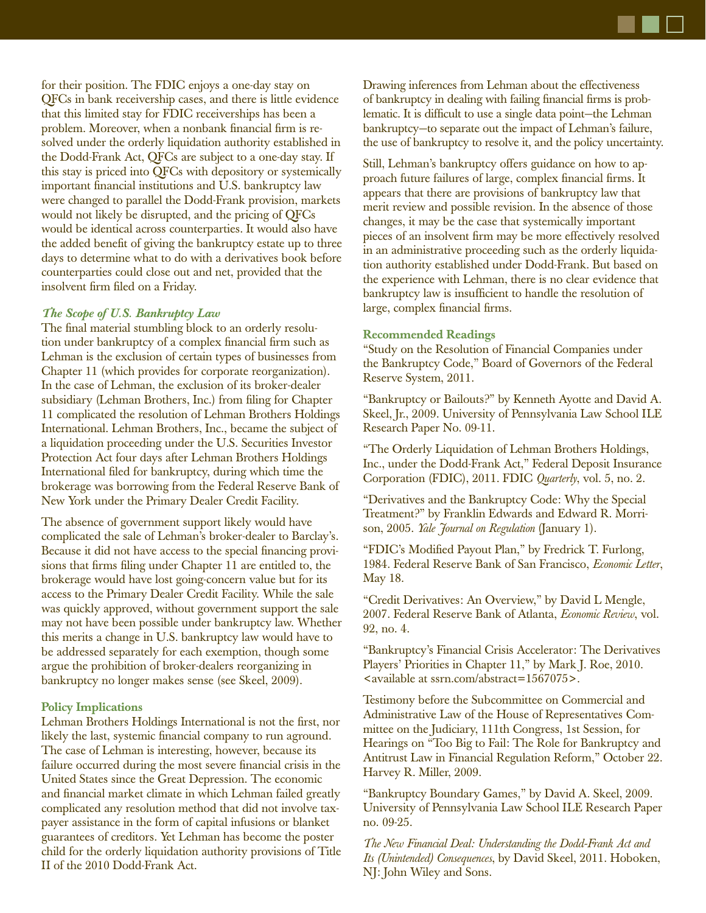

for their position. The FDIC enjoys a one-day stay on QFCs in bank receivership cases, and there is little evidence that this limited stay for FDIC receiverships has been a problem. Moreover, when a nonbank financial firm is resolved under the orderly liquidation authority established in the Dodd-Frank Act, QFCs are subject to a one-day stay. If this stay is priced into QFCs with depository or systemically important financial institutions and U.S. bankruptcy law were changed to parallel the Dodd-Frank provision, markets would not likely be disrupted, and the pricing of QFCs would be identical across counterparties. It would also have the added benefit of giving the bankruptcy estate up to three days to determine what to do with a derivatives book before counterparties could close out and net, provided that the insolvent firm filed on a Friday.

# *The Scope of U.S. Bankruptcy Law*

The final material stumbling block to an orderly resolution under bankruptcy of a complex financial firm such as Lehman is the exclusion of certain types of businesses from Chapter 11 (which provides for corporate reorganization). In the case of Lehman, the exclusion of its broker-dealer subsidiary (Lehman Brothers, Inc.) from filing for Chapter 11 complicated the resolution of Lehman Brothers Holdings International. Lehman Brothers, Inc., became the subject of a liquidation proceeding under the U.S. Securities Investor Protection Act four days after Lehman Brothers Holdings International filed for bankruptcy, during which time the brokerage was borrowing from the Federal Reserve Bank of New York under the Primary Dealer Credit Facility.

The absence of government support likely would have complicated the sale of Lehman's broker-dealer to Barclay's. Because it did not have access to the special financing provisions that firms filing under Chapter 11 are entitled to, the brokerage would have lost going-concern value but for its access to the Primary Dealer Credit Facility. While the sale was quickly approved, without government support the sale may not have been possible under bankruptcy law. Whether this merits a change in U.S. bankruptcy law would have to be addressed separately for each exemption, though some argue the prohibition of broker-dealers reorganizing in bankruptcy no longer makes sense (see Skeel, 2009).

### **Policy Implications**

Lehman Brothers Holdings International is not the first, nor likely the last, systemic financial company to run aground. The case of Lehman is interesting, however, because its failure occurred during the most severe financial crisis in the United States since the Great Depression. The economic and financial market climate in which Lehman failed greatly complicated any resolution method that did not involve taxpayer assistance in the form of capital infusions or blanket guarantees of creditors. Yet Lehman has become the poster child for the orderly liquidation authority provisions of Title II of the 2010 Dodd-Frank Act.

Drawing inferences from Lehman about the effectiveness of bankruptcy in dealing with failing financial firms is problematic. It is difficult to use a single data point—the Lehman bankruptcy—to separate out the impact of Lehman's failure, the use of bankruptcy to resolve it, and the policy uncertainty.

Still, Lehman's bankruptcy offers guidance on how to approach future failures of large, complex financial firms. It appears that there are provisions of bankruptcy law that merit review and possible revision. In the absence of those changes, it may be the case that systemically important pieces of an insolvent firm may be more effectively resolved in an administrative proceeding such as the orderly liquidation authority established under Dodd-Frank. But based on the experience with Lehman, there is no clear evidence that bankruptcy law is insufficient to handle the resolution of large, complex financial firms.

### **Recommended Readings**

"Study on the Resolution of Financial Companies under the Bankruptcy Code," Board of Governors of the Federal Reserve System, 2011.

"Bankruptcy or Bailouts?" by Kenneth Ayotte and David A. Skeel, Jr., 2009. University of Pennsylvania Law School ILE Research Paper No. 09-11.

"The Orderly Liquidation of Lehman Brothers Holdings, Inc., under the Dodd-Frank Act," Federal Deposit Insurance Corporation (FDIC), 2011. FDIC *Quarterly*, vol. 5, no. 2.

"Derivatives and the Bankruptcy Code: Why the Special Treatment?" by Franklin Edwards and Edward R. Morrison, 2005. *Yale Journal on Regulation* (January 1).

"FDIC's Modified Payout Plan," by Fredrick T. Furlong, 1984. Federal Reserve Bank of San Francisco, *Economic Letter*, May 18.

"Credit Derivatives: An Overview," by David L Mengle, 2007. Federal Reserve Bank of Atlanta, *Economic Review*, vol. 92, no. 4.

"Bankruptcy's Financial Crisis Accelerator: The Derivatives Players' Priorities in Chapter 11," by Mark J. Roe, 2010. <available at ssrn.com/abstract=1567075>.

Testimony before the Subcommittee on Commercial and Administrative Law of the House of Representatives Committee on the Judiciary, 111th Congress, 1st Session, for Hearings on "Too Big to Fail: The Role for Bankruptcy and Antitrust Law in Financial Regulation Reform," October 22. Harvey R. Miller, 2009.

"Bankruptcy Boundary Games," by David A. Skeel, 2009. University of Pennsylvania Law School ILE Research Paper no. 09-25.

*The New Financial Deal: Understanding the Dodd-Frank Act and Its (Unintended) Consequences*, by David Skeel, 2011. Hoboken, NJ: John Wiley and Sons.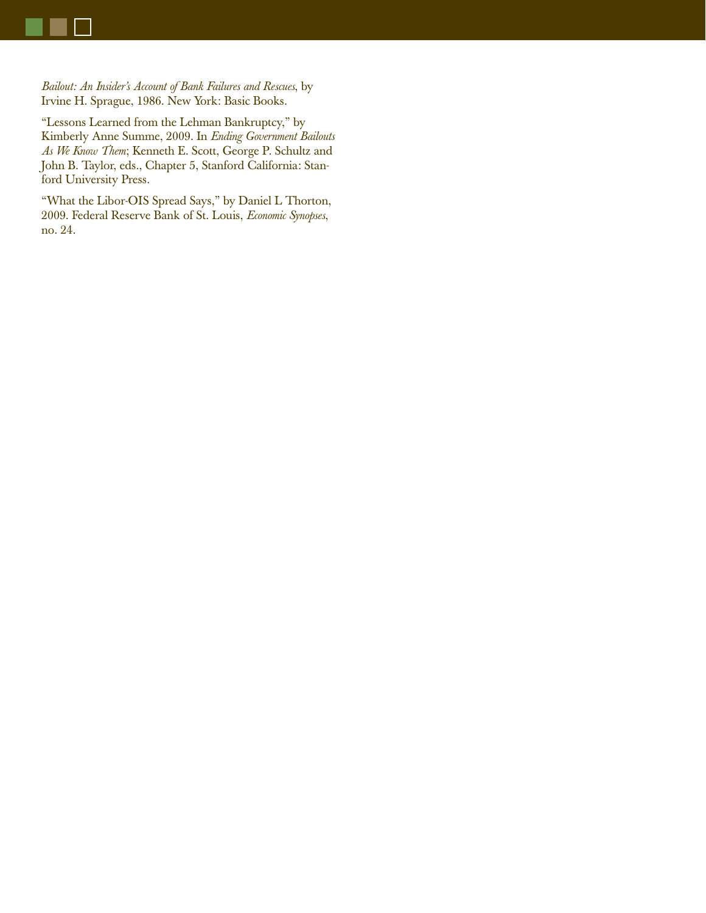*Bailout: An Insider's Account of Bank Failures and Rescues*, by Irvine H. Sprague, 1986. New York: Basic Books.

"Lessons Learned from the Lehman Bankruptcy," by Kimberly Anne Summe, 2009. In *Ending Government Bailouts As We Know Them*; Kenneth E. Scott, George P. Schultz and John B. Taylor, eds., Chapter 5, Stanford California: Stanford University Press.

"What the Libor-OIS Spread Says," by Daniel L Thorton, 2009. Federal Reserve Bank of St. Louis, *Economic Synopses*, no. 24.